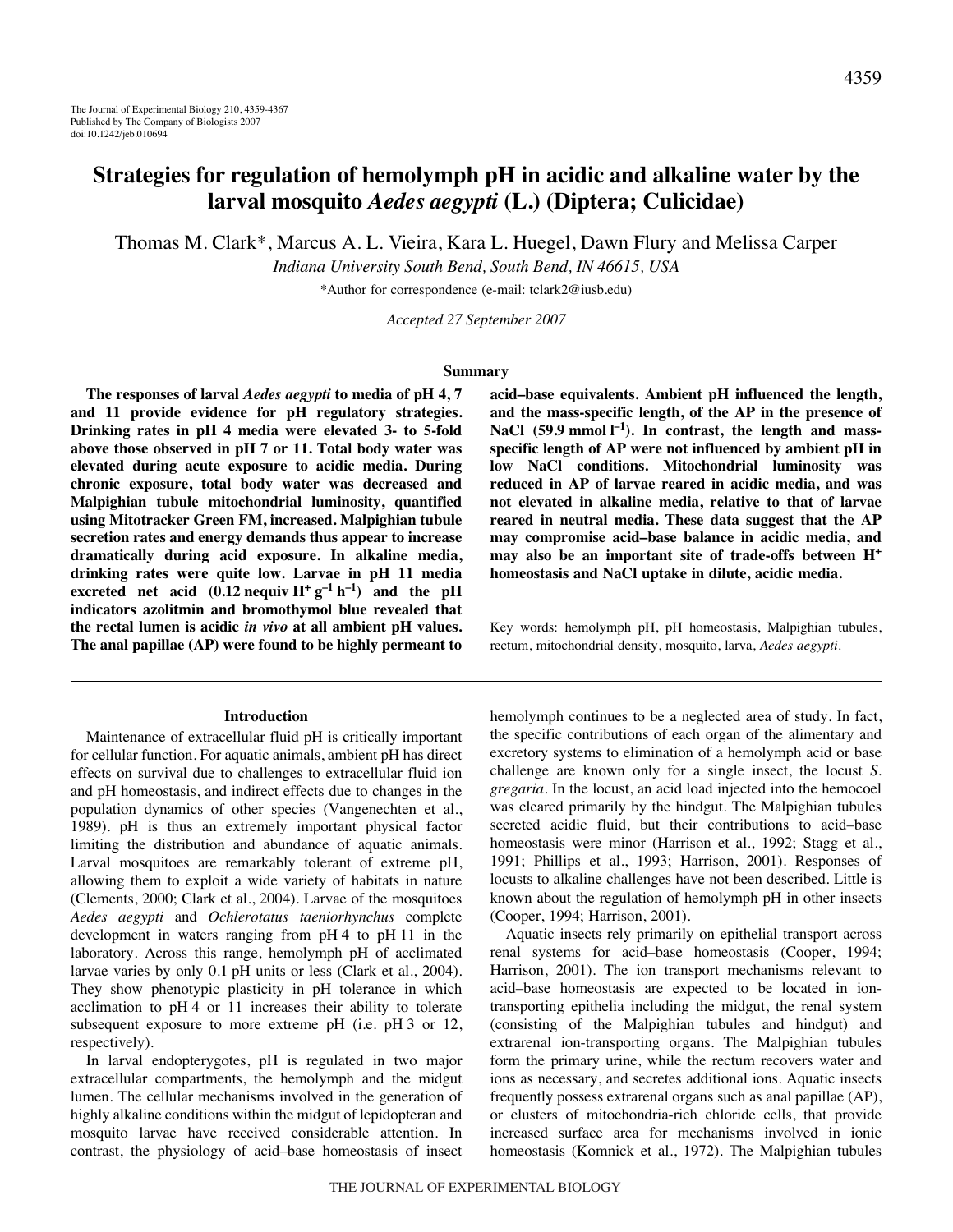# **Strategies for regulation of hemolymph pH in acidic and alkaline water by the larval mosquito** *Aedes aegypti* **(L.) (Diptera; Culicidae)**

Thomas M. Clark\*, Marcus A. L. Vieira, Kara L. Huegel, Dawn Flury and Melissa Carper

*Indiana University South Bend, South Bend, IN 46615, USA*

\*Author for correspondence (e-mail: tclark2@iusb.edu)

*Accepted 27 September 2007*

#### **Summary**

**The responses of larval** *Aedes aegypti* **to media of pH 4, 7 and 11 provide evidence for pH regulatory strategies. Drinking rates in pH 4 media were elevated 3- to 5-fold above those observed in pH 7 or 11. Total body water was elevated during acute exposure to acidic media. During chronic exposure, total body water was decreased and Malpighian tubule mitochondrial luminosity, quantified using Mitotracker Green FM, increased. Malpighian tubule secretion rates and energy demands thus appear to increase dramatically during acid exposure. In alkaline media, drinking rates were quite low. Larvae in pH 11 media** excreted net acid  $(0.12 \text{ negative H}^+ \text{g}^{-1} \text{h}^{-1})$  and the pH **indicators azolitmin and bromothymol blue revealed that the rectal lumen is acidic** *in vivo* **at all ambient pH values. The anal papillae (AP) were found to be highly permeant to**

#### **Introduction**

Maintenance of extracellular fluid pH is critically important for cellular function. For aquatic animals, ambient pH has direct effects on survival due to challenges to extracellular fluid ion and pH homeostasis, and indirect effects due to changes in the population dynamics of other species (Vangenechten et al., 1989). pH is thus an extremely important physical factor limiting the distribution and abundance of aquatic animals. Larval mosquitoes are remarkably tolerant of extreme pH, allowing them to exploit a wide variety of habitats in nature (Clements, 2000; Clark et al., 2004). Larvae of the mosquitoes *Aedes aegypti* and *Ochlerotatus taeniorhynchus* complete development in waters ranging from pH**·**4 to pH**·**11 in the laboratory. Across this range, hemolymph pH of acclimated larvae varies by only 0.1 pH units or less (Clark et al., 2004). They show phenotypic plasticity in pH tolerance in which acclimation to  $pH4$  or 11 increases their ability to tolerate subsequent exposure to more extreme pH (i.e. pH 3 or 12, respectively).

In larval endopterygotes, pH is regulated in two major extracellular compartments, the hemolymph and the midgut lumen. The cellular mechanisms involved in the generation of highly alkaline conditions within the midgut of lepidopteran and mosquito larvae have received considerable attention. In contrast, the physiology of acid–base homeostasis of insect **acid–base equivalents. Ambient pH influenced the length, and the mass-specific length, of the AP in the presence of** NaCl (59.9 mmol  $I^{-1}$ ). In contrast, the length and mass**specific length of AP were not influenced by ambient pH in low NaCl conditions. Mitochondrial luminosity was reduced in AP of larvae reared in acidic media, and was not elevated in alkaline media, relative to that of larvae reared in neutral media. These data suggest that the AP may compromise acid–base balance in acidic media, and may also be an important site of trade-offs between H+ homeostasis and NaCl uptake in dilute, acidic media.**

Key words: hemolymph pH, pH homeostasis, Malpighian tubules, rectum, mitochondrial density, mosquito, larva, *Aedes aegypti*.

hemolymph continues to be a neglected area of study. In fact, the specific contributions of each organ of the alimentary and excretory systems to elimination of a hemolymph acid or base challenge are known only for a single insect, the locust *S. gregaria*. In the locust, an acid load injected into the hemocoel was cleared primarily by the hindgut. The Malpighian tubules secreted acidic fluid, but their contributions to acid–base homeostasis were minor (Harrison et al., 1992; Stagg et al., 1991; Phillips et al., 1993; Harrison, 2001). Responses of locusts to alkaline challenges have not been described. Little is known about the regulation of hemolymph pH in other insects (Cooper, 1994; Harrison, 2001).

Aquatic insects rely primarily on epithelial transport across renal systems for acid–base homeostasis (Cooper, 1994; Harrison, 2001). The ion transport mechanisms relevant to acid–base homeostasis are expected to be located in iontransporting epithelia including the midgut, the renal system (consisting of the Malpighian tubules and hindgut) and extrarenal ion-transporting organs. The Malpighian tubules form the primary urine, while the rectum recovers water and ions as necessary, and secretes additional ions. Aquatic insects frequently possess extrarenal organs such as anal papillae (AP), or clusters of mitochondria-rich chloride cells, that provide increased surface area for mechanisms involved in ionic homeostasis (Komnick et al., 1972). The Malpighian tubules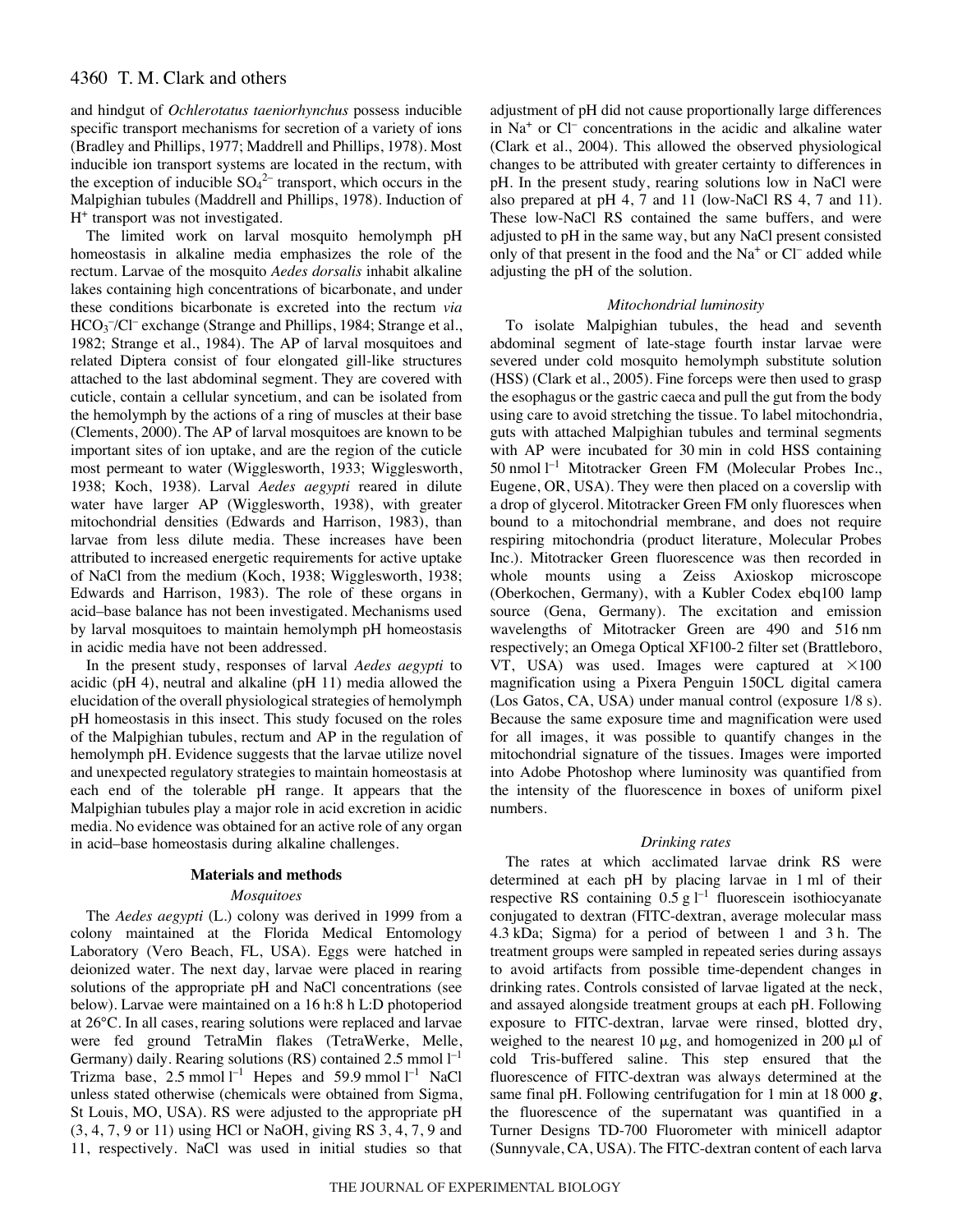# 4360 T. M. Clark and others

and hindgut of *Ochlerotatus taeniorhynchus* possess inducible specific transport mechanisms for secretion of a variety of ions (Bradley and Phillips, 1977; Maddrell and Phillips, 1978). Most inducible ion transport systems are located in the rectum, with the exception of inducible  $SO_4^2$  transport, which occurs in the Malpighian tubules (Maddrell and Phillips, 1978). Induction of  $H<sup>+</sup>$  transport was not investigated.

The limited work on larval mosquito hemolymph pH homeostasis in alkaline media emphasizes the role of the rectum. Larvae of the mosquito *Aedes dorsalis* inhabit alkaline lakes containing high concentrations of bicarbonate, and under these conditions bicarbonate is excreted into the rectum *via* HCO<sub>3</sub><sup>-</sup>/Cl<sup>-</sup> exchange (Strange and Phillips, 1984; Strange et al., 1982; Strange et al., 1984). The AP of larval mosquitoes and related Diptera consist of four elongated gill-like structures attached to the last abdominal segment. They are covered with cuticle, contain a cellular syncetium, and can be isolated from the hemolymph by the actions of a ring of muscles at their base (Clements, 2000). The AP of larval mosquitoes are known to be important sites of ion uptake, and are the region of the cuticle most permeant to water (Wigglesworth, 1933; Wigglesworth, 1938; Koch, 1938). Larval *Aedes aegypti* reared in dilute water have larger AP (Wigglesworth, 1938), with greater mitochondrial densities (Edwards and Harrison, 1983), than larvae from less dilute media. These increases have been attributed to increased energetic requirements for active uptake of NaCl from the medium (Koch, 1938; Wigglesworth, 1938; Edwards and Harrison, 1983). The role of these organs in acid–base balance has not been investigated. Mechanisms used by larval mosquitoes to maintain hemolymph pH homeostasis in acidic media have not been addressed.

In the present study, responses of larval *Aedes aegypti* to acidic (pH 4), neutral and alkaline (pH 11) media allowed the elucidation of the overall physiological strategies of hemolymph pH homeostasis in this insect. This study focused on the roles of the Malpighian tubules, rectum and AP in the regulation of hemolymph pH. Evidence suggests that the larvae utilize novel and unexpected regulatory strategies to maintain homeostasis at each end of the tolerable pH range. It appears that the Malpighian tubules play a major role in acid excretion in acidic media. No evidence was obtained for an active role of any organ in acid–base homeostasis during alkaline challenges.

#### **Materials and methods**

#### *Mosquitoes*

The *Aedes aegypti* (L.) colony was derived in 1999 from a colony maintained at the Florida Medical Entomology Laboratory (Vero Beach, FL, USA). Eggs were hatched in deionized water. The next day, larvae were placed in rearing solutions of the appropriate pH and NaCl concentrations (see below). Larvae were maintained on a 16 h:8 h L:D photoperiod at 26°C. In all cases, rearing solutions were replaced and larvae were fed ground TetraMin flakes (TetraWerke, Melle, Germany) daily. Rearing solutions (RS) contained  $2.5$  mmol  $l^{-1}$ Trizma base,  $2.5 \text{ mmol } l^{-1}$  Hepes and  $59.9 \text{ mmol } l^{-1}$  NaCl unless stated otherwise (chemicals were obtained from Sigma, St Louis, MO, USA). RS were adjusted to the appropriate pH (3, 4, 7, 9 or 11) using HCl or NaOH, giving RS 3, 4, 7, 9 and 11, respectively. NaCl was used in initial studies so that adjustment of pH did not cause proportionally large differences in Na+ or Cl– concentrations in the acidic and alkaline water (Clark et al., 2004). This allowed the observed physiological changes to be attributed with greater certainty to differences in pH. In the present study, rearing solutions low in NaCl were also prepared at pH 4, 7 and 11 (low-NaCl RS 4, 7 and 11). These low-NaCl RS contained the same buffers, and were adjusted to pH in the same way, but any NaCl present consisted only of that present in the food and the  $Na<sup>+</sup>$  or  $Cl<sup>-</sup>$  added while adjusting the pH of the solution.

#### *Mitochondrial luminosity*

To isolate Malpighian tubules, the head and seventh abdominal segment of late-stage fourth instar larvae were severed under cold mosquito hemolymph substitute solution (HSS) (Clark et al., 2005). Fine forceps were then used to grasp the esophagus or the gastric caeca and pull the gut from the body using care to avoid stretching the tissue. To label mitochondria, guts with attached Malpighian tubules and terminal segments with AP were incubated for 30 min in cold HSS containing 50 nmol<sup>1-1</sup> Mitotracker Green FM (Molecular Probes Inc., Eugene, OR, USA). They were then placed on a coverslip with a drop of glycerol. Mitotracker Green FM only fluoresces when bound to a mitochondrial membrane, and does not require respiring mitochondria (product literature, Molecular Probes Inc.). Mitotracker Green fluorescence was then recorded in whole mounts using a Zeiss Axioskop microscope (Oberkochen, Germany), with a Kubler Codex ebq100 lamp source (Gena, Germany). The excitation and emission wavelengths of Mitotracker Green are 490 and 516 nm respectively; an Omega Optical XF100-2 filter set (Brattleboro, VT, USA) was used. Images were captured at  $\times 100$ magnification using a Pixera Penguin 150CL digital camera (Los Gatos, CA, USA) under manual control (exposure 1/8·s). Because the same exposure time and magnification were used for all images, it was possible to quantify changes in the mitochondrial signature of the tissues. Images were imported into Adobe Photoshop where luminosity was quantified from the intensity of the fluorescence in boxes of uniform pixel numbers.

#### *Drinking rates*

The rates at which acclimated larvae drink RS were determined at each pH by placing larvae in 1 ml of their respective RS containing  $0.5 g l^{-1}$  fluorescein isothiocyanate conjugated to dextran (FITC-dextran, average molecular mass 4.3 kDa; Sigma) for a period of between 1 and 3 h. The treatment groups were sampled in repeated series during assays to avoid artifacts from possible time-dependent changes in drinking rates. Controls consisted of larvae ligated at the neck, and assayed alongside treatment groups at each pH. Following exposure to FITC-dextran, larvae were rinsed, blotted dry, weighed to the nearest 10  $\mu$ g, and homogenized in 200  $\mu$ l of cold Tris-buffered saline. This step ensured that the fluorescence of FITC-dextran was always determined at the same final pH. Following centrifugation for 1 min at 18 000  $g$ , the fluorescence of the supernatant was quantified in a Turner Designs TD-700 Fluorometer with minicell adaptor (Sunnyvale, CA, USA). The FITC-dextran content of each larva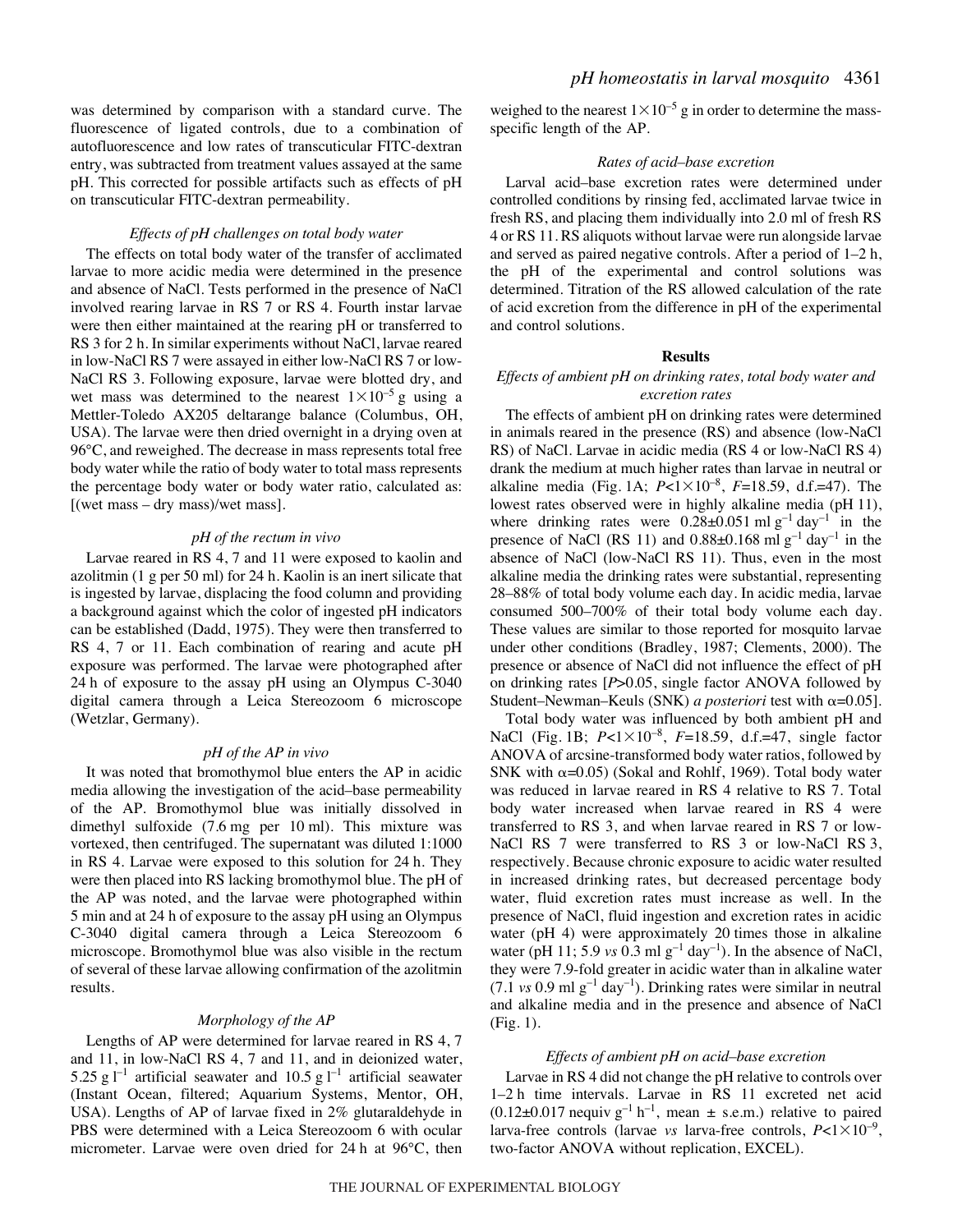was determined by comparison with a standard curve. The fluorescence of ligated controls, due to a combination of autofluorescence and low rates of transcuticular FITC-dextran entry, was subtracted from treatment values assayed at the same pH. This corrected for possible artifacts such as effects of pH on transcuticular FITC-dextran permeability.

# *Effects of pH challenges on total body water*

The effects on total body water of the transfer of acclimated larvae to more acidic media were determined in the presence and absence of NaCl. Tests performed in the presence of NaCl involved rearing larvae in RS 7 or RS 4. Fourth instar larvae were then either maintained at the rearing pH or transferred to RS 3 for 2 h. In similar experiments without NaCl, larvae reared in low-NaCl RS 7 were assayed in either low-NaCl RS 7 or low-NaCl RS 3. Following exposure, larvae were blotted dry, and wet mass was determined to the nearest  $1 \times 10^{-5}$  g using a Mettler-Toledo AX205 deltarange balance (Columbus, OH, USA). The larvae were then dried overnight in a drying oven at 96°C, and reweighed. The decrease in mass represents total free body water while the ratio of body water to total mass represents the percentage body water or body water ratio, calculated as:  $[$ (wet mass – dry mass)/wet mass].

#### *pH of the rectum in vivo*

Larvae reared in RS 4, 7 and 11 were exposed to kaolin and azolitmin  $(1 \text{ g per } 50 \text{ ml})$  for 24 h. Kaolin is an inert silicate that is ingested by larvae, displacing the food column and providing a background against which the color of ingested pH indicators can be established (Dadd, 1975). They were then transferred to RS 4, 7 or 11. Each combination of rearing and acute pH exposure was performed. The larvae were photographed after 24 h of exposure to the assay pH using an Olympus C-3040 digital camera through a Leica Stereozoom 6 microscope (Wetzlar, Germany).

#### *pH of the AP in vivo*

It was noted that bromothymol blue enters the AP in acidic media allowing the investigation of the acid–base permeability of the AP. Bromothymol blue was initially dissolved in dimethyl sulfoxide  $(7.6 \text{ mg per } 10 \text{ ml})$ . This mixture was vortexed, then centrifuged. The supernatant was diluted 1:1000 in RS 4. Larvae were exposed to this solution for 24 h. They were then placed into RS lacking bromothymol blue. The pH of the AP was noted, and the larvae were photographed within 5 min and at 24 h of exposure to the assay pH using an Olympus C-3040 digital camera through a Leica Stereozoom 6 microscope. Bromothymol blue was also visible in the rectum of several of these larvae allowing confirmation of the azolitmin results.

#### *Morphology of the AP*

Lengths of AP were determined for larvae reared in RS 4, 7 and 11, in low-NaCl RS 4, 7 and 11, and in deionized water, 5.25 g  $l^{-1}$  artificial seawater and 10.5 g  $l^{-1}$  artificial seawater (Instant Ocean, filtered; Aquarium Systems, Mentor, OH, USA). Lengths of AP of larvae fixed in 2% glutaraldehyde in PBS were determined with a Leica Stereozoom 6 with ocular micrometer. Larvae were oven dried for  $24 h$  at  $96^{\circ}$ C, then

weighed to the nearest  $1 \times 10^{-5}$  g in order to determine the massspecific length of the AP.

#### *Rates of acid–base excretion*

Larval acid–base excretion rates were determined under controlled conditions by rinsing fed, acclimated larvae twice in fresh RS, and placing them individually into 2.0 ml of fresh RS 4 or RS 11. RS aliquots without larvae were run alongside larvae and served as paired negative controls. After a period of  $1-2h$ , the pH of the experimental and control solutions was determined. Titration of the RS allowed calculation of the rate of acid excretion from the difference in pH of the experimental and control solutions.

#### **Results**

# *Effects of ambient pH on drinking rates, total body water and excretion rates*

The effects of ambient pH on drinking rates were determined in animals reared in the presence (RS) and absence (low-NaCl RS) of NaCl. Larvae in acidic media (RS 4 or low-NaCl RS 4) drank the medium at much higher rates than larvae in neutral or alkaline media (Fig. 1A;  $P < 1 \times 10^{-8}$ ,  $F = 18.59$ , d.f.=47). The lowest rates observed were in highly alkaline media (pH 11), where drinking rates were  $0.28 \pm 0.051$  ml g<sup>-1</sup> day<sup>-1</sup> in the presence of NaCl (RS 11) and  $0.88\pm0.168$  ml g<sup>-1</sup> day<sup>-1</sup> in the absence of NaCl (low-NaCl RS 11). Thus, even in the most alkaline media the drinking rates were substantial, representing 28–88% of total body volume each day. In acidic media, larvae consumed 500–700% of their total body volume each day. These values are similar to those reported for mosquito larvae under other conditions (Bradley, 1987; Clements, 2000). The presence or absence of NaCl did not influence the effect of pH on drinking rates [*P*>0.05, single factor ANOVA followed by Student–Newman–Keuls (SNK) *a posteriori* test with  $\alpha$ =0.05].

Total body water was influenced by both ambient pH and NaCl (Fig. 1B;  $P < 1 \times 10^{-8}$ ,  $F = 18.59$ , d.f. = 47, single factor ANOVA of arcsine-transformed body water ratios, followed by SNK with  $\alpha$ =0.05) (Sokal and Rohlf, 1969). Total body water was reduced in larvae reared in RS 4 relative to RS 7. Total body water increased when larvae reared in RS 4 were transferred to RS 3, and when larvae reared in RS 7 or low-NaCl RS 7 were transferred to RS 3 or low-NaCl RS 3, respectively. Because chronic exposure to acidic water resulted in increased drinking rates, but decreased percentage body water, fluid excretion rates must increase as well. In the presence of NaCl, fluid ingestion and excretion rates in acidic water ( $pH$  4) were approximately 20 times those in alkaline water (pH 11; 5.9  $vs$  0.3 ml  $g^{-1}$  day<sup>-1</sup>). In the absence of NaCl, they were 7.9-fold greater in acidic water than in alkaline water  $(7.1 \text{ vs } 0.9 \text{ ml } g^{-1} \text{ day}^{-1})$ . Drinking rates were similar in neutral and alkaline media and in the presence and absence of NaCl  $(Fig. 1)$ .

### *Effects of ambient pH on acid–base excretion*

Larvae in RS 4 did not change the pH relative to controls over 1-2 h time intervals. Larvae in RS 11 excreted net acid  $(0.12\pm0.017$  nequiv  $g^{-1}$  h<sup>-1</sup>, mean  $\pm$  s.e.m.) relative to paired larva-free controls (larvae *vs* larva-free controls,  $P < 1 \times 10^{-9}$ , two-factor ANOVA without replication, EXCEL).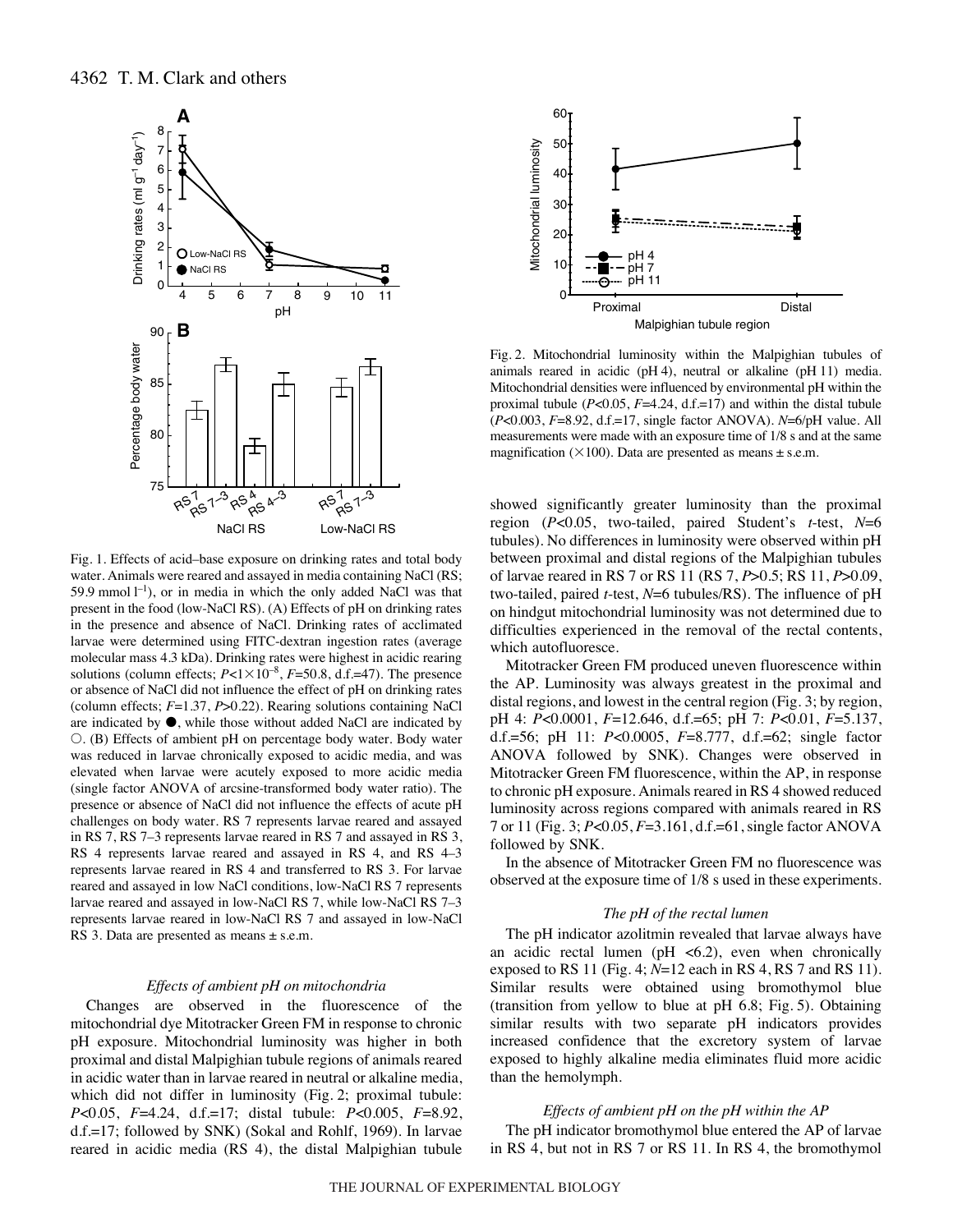

Fig. 1. Effects of acid–base exposure on drinking rates and total body water. Animals were reared and assayed in media containing NaCl (RS; 59.9 mmol  $l^{-1}$ ), or in media in which the only added NaCl was that present in the food (low-NaCl RS). (A) Effects of pH on drinking rates in the presence and absence of NaCl. Drinking rates of acclimated larvae were determined using FITC-dextran ingestion rates (average molecular mass 4.3·kDa). Drinking rates were highest in acidic rearing solutions (column effects;  $P < 1 \times 10^{-8}$ ,  $F = 50.8$ , d.f.=47). The presence or absence of NaCl did not influence the effect of pH on drinking rates (column effects; *F*=1.37, *P*>0.22). Rearing solutions containing NaCl are indicated by  $\bullet$ , while those without added NaCl are indicated by . (B) Effects of ambient pH on percentage body water. Body water was reduced in larvae chronically exposed to acidic media, and was elevated when larvae were acutely exposed to more acidic media (single factor ANOVA of arcsine-transformed body water ratio). The presence or absence of NaCl did not influence the effects of acute pH challenges on body water. RS 7 represents larvae reared and assayed in RS 7, RS 7–3 represents larvae reared in RS 7 and assayed in RS 3, RS 4 represents larvae reared and assayed in RS 4, and RS 4–3 represents larvae reared in RS 4 and transferred to RS 3. For larvae reared and assayed in low NaCl conditions, low-NaCl RS 7 represents larvae reared and assayed in low-NaCl RS 7, while low-NaCl RS 7–3 represents larvae reared in low-NaCl RS 7 and assayed in low-NaCl RS 3. Data are presented as means  $\pm$  s.e.m.

#### *Effects of ambient pH on mitochondria*

Changes are observed in the fluorescence of the mitochondrial dye Mitotracker Green FM in response to chronic pH exposure. Mitochondrial luminosity was higher in both proximal and distal Malpighian tubule regions of animals reared in acidic water than in larvae reared in neutral or alkaline media, which did not differ in luminosity (Fig. 2; proximal tubule: *P*<0.05, *F*=4.24, d.f.=17; distal tubule: *P*<0.005, *F*=8.92, d.f.=17; followed by SNK) (Sokal and Rohlf, 1969). In larvae reared in acidic media (RS 4), the distal Malpighian tubule



Fig. 2. Mitochondrial luminosity within the Malpighian tubules of animals reared in acidic (pH 4), neutral or alkaline (pH  $11$ ) media. Mitochondrial densities were influenced by environmental pH within the proximal tubule (*P*<0.05, *F*=4.24, d.f.=17) and within the distal tubule (*P*<0.003, *F*=8.92, d.f.=17, single factor ANOVA). *N*=6/pH value. All measurements were made with an exposure time of  $1/8$  s and at the same magnification  $(\times 100)$ . Data are presented as means  $\pm$  s.e.m.

showed significantly greater luminosity than the proximal region (*P*<0.05, two-tailed, paired Student's *t*-test, *N*=6 tubules). No differences in luminosity were observed within pH between proximal and distal regions of the Malpighian tubules of larvae reared in RS 7 or RS 11 (RS 7, *P*>0.5; RS 11, *P*>0.09, two-tailed, paired *t*-test, *N*=6 tubules/RS). The influence of pH on hindgut mitochondrial luminosity was not determined due to difficulties experienced in the removal of the rectal contents, which autofluoresce.

Mitotracker Green FM produced uneven fluorescence within the AP. Luminosity was always greatest in the proximal and distal regions, and lowest in the central region (Fig. 3; by region, pH 4: *P*<0.0001, *F*=12.646, d.f.=65; pH 7: *P*<0.01, *F*=5.137, d.f.=56; pH 11: *P*<0.0005, *F*=8.777, d.f.=62; single factor ANOVA followed by SNK). Changes were observed in Mitotracker Green FM fluorescence, within the AP, in response to chronic pH exposure. Animals reared in RS 4 showed reduced luminosity across regions compared with animals reared in RS 7 or 11 (Fig. 3; *P*<0.05, *F*=3.161, d.f.=61, single factor ANOVA followed by SNK.

In the absence of Mitotracker Green FM no fluorescence was observed at the exposure time of  $1/8$  s used in these experiments.

#### *The pH of the rectal lumen*

The pH indicator azolitmin revealed that larvae always have an acidic rectal lumen ( $pH < 6.2$ ), even when chronically exposed to RS 11 (Fig. 4;  $N=12$  each in RS 4, RS 7 and RS 11). Similar results were obtained using bromothymol blue (transition from yellow to blue at  $pH$  6.8; Fig. 5). Obtaining similar results with two separate pH indicators provides increased confidence that the excretory system of larvae exposed to highly alkaline media eliminates fluid more acidic than the hemolymph.

# *Effects of ambient pH on the pH within the AP*

The pH indicator bromothymol blue entered the AP of larvae in RS 4, but not in RS 7 or RS 11. In RS 4, the bromothymol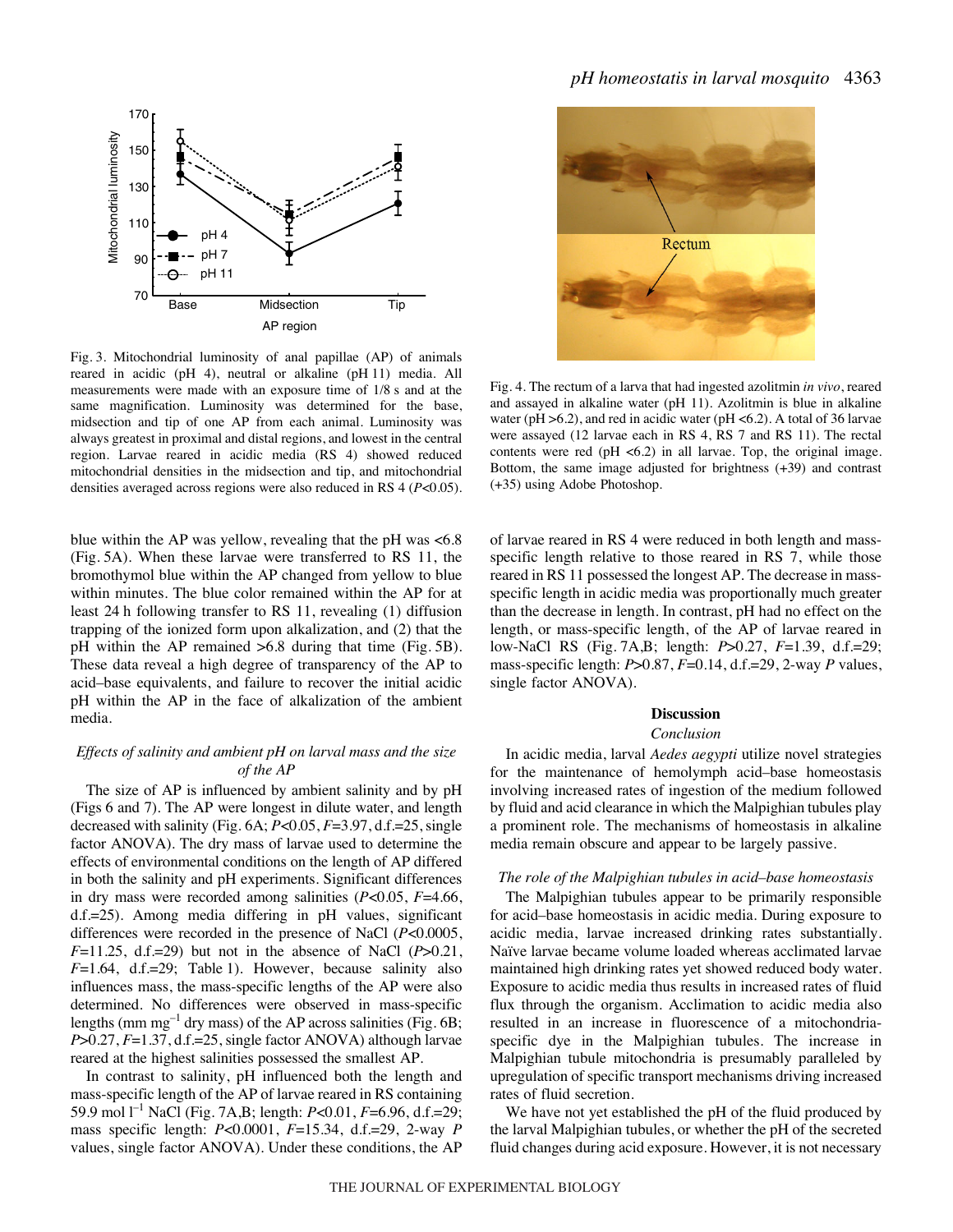

Fig. 3. Mitochondrial luminosity of anal papillae (AP) of animals reared in acidic (pH 4), neutral or alkaline (pH 11) media. All measurements were made with an exposure time of  $1/8$  s and at the same magnification. Luminosity was determined for the base, midsection and tip of one AP from each animal. Luminosity was always greatest in proximal and distal regions, and lowest in the central region. Larvae reared in acidic media (RS 4) showed reduced mitochondrial densities in the midsection and tip, and mitochondrial densities averaged across regions were also reduced in RS 4 (*P*<0.05).

blue within the AP was yellow, revealing that the pH was <6.8 (Fig. 5A). When these larvae were transferred to RS 11, the bromothymol blue within the AP changed from yellow to blue within minutes. The blue color remained within the AP for at least 24 h following transfer to RS 11, revealing (1) diffusion trapping of the ionized form upon alkalization, and (2) that the pH within the AP remained  $>6.8$  during that time (Fig. 5B). These data reveal a high degree of transparency of the AP to acid–base equivalents, and failure to recover the initial acidic pH within the AP in the face of alkalization of the ambient media.

# *Effects of salinity and ambient pH on larval mass and the size of the AP*

The size of AP is influenced by ambient salinity and by pH (Figs 6 and 7). The AP were longest in dilute water, and length decreased with salinity (Fig.  $6A$ ;  $P<0.05$ ,  $F=3.97$ , d.f.=25, single factor ANOVA). The dry mass of larvae used to determine the effects of environmental conditions on the length of AP differed in both the salinity and pH experiments. Significant differences in dry mass were recorded among salinities (*P*<0.05, *F*=4.66, d.f.=25). Among media differing in pH values, significant differences were recorded in the presence of NaCl (*P*<0.0005, *F*=11.25, d.f.=29) but not in the absence of NaCl (*P*>0.21,  $F=1.64$ , d.f.=29; Table 1). However, because salinity also influences mass, the mass-specific lengths of the AP were also determined. No differences were observed in mass-specific lengths (mm  $mg^{-1}$  dry mass) of the AP across salinities (Fig. 6B; *P*>0.27, *F*=1.37, d.f.=25, single factor ANOVA) although larvae reared at the highest salinities possessed the smallest AP.

In contrast to salinity, pH influenced both the length and mass-specific length of the AP of larvae reared in RS containing 59.9 mol  $l^{-1}$  NaCl (Fig. 7A,B; length: *P*<0.01, *F*=6.96, d.f.=29; mass specific length: *P*<0.0001, *F*=15.34, d.f.=29, 2-way *P* values, single factor ANOVA). Under these conditions, the AP



Fig. 4. The rectum of a larva that had ingested azolitmin *in vivo*, reared and assayed in alkaline water (pH 11). Azolitmin is blue in alkaline water ( $pH > 6.2$ ), and red in acidic water ( $pH < 6.2$ ). A total of 36 larvae were assayed (12 larvae each in RS 4, RS 7 and RS 11). The rectal contents were red ( $pH < 6.2$ ) in all larvae. Top, the original image. Bottom, the same image adjusted for brightness (+39) and contrast (+35) using Adobe Photoshop.

of larvae reared in RS 4 were reduced in both length and massspecific length relative to those reared in RS 7, while those reared in RS 11 possessed the longest AP. The decrease in massspecific length in acidic media was proportionally much greater than the decrease in length. In contrast, pH had no effect on the length, or mass-specific length, of the AP of larvae reared in low-NaCl RS (Fig. 7A,B; length: *P*>0.27, *F*=1.39, d.f.=29; mass-specific length: *P*>0.87, *F*=0.14, d.f.=29, 2-way *P* values, single factor ANOVA).

#### **Discussion**

#### *Conclusion*

In acidic media, larval *Aedes aegypti* utilize novel strategies for the maintenance of hemolymph acid–base homeostasis involving increased rates of ingestion of the medium followed by fluid and acid clearance in which the Malpighian tubules play a prominent role. The mechanisms of homeostasis in alkaline media remain obscure and appear to be largely passive.

#### *The role of the Malpighian tubules in acid–base homeostasis*

The Malpighian tubules appear to be primarily responsible for acid–base homeostasis in acidic media. During exposure to acidic media, larvae increased drinking rates substantially. Naïve larvae became volume loaded whereas acclimated larvae maintained high drinking rates yet showed reduced body water. Exposure to acidic media thus results in increased rates of fluid flux through the organism. Acclimation to acidic media also resulted in an increase in fluorescence of a mitochondriaspecific dye in the Malpighian tubules. The increase in Malpighian tubule mitochondria is presumably paralleled by upregulation of specific transport mechanisms driving increased rates of fluid secretion.

We have not yet established the pH of the fluid produced by the larval Malpighian tubules, or whether the pH of the secreted fluid changes during acid exposure. However, it is not necessary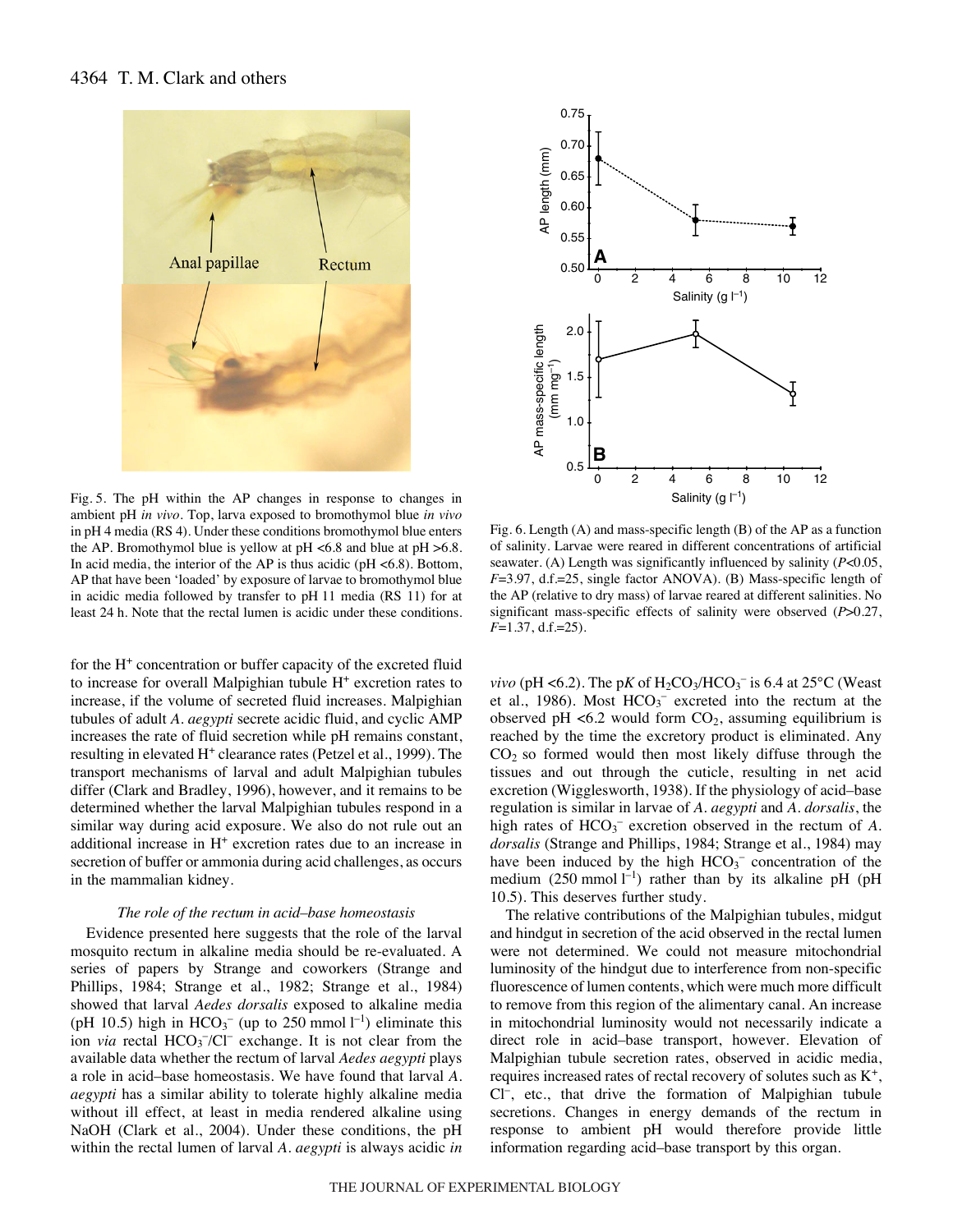



Fig. 5. The pH within the AP changes in response to changes in ambient pH *in vivo*. Top, larva exposed to bromothymol blue *in vivo* in pH 4 media (RS 4). Under these conditions bromothymol blue enters the AP. Bromothymol blue is yellow at  $pH < 6.8$  and blue at  $pH > 6.8$ . In acid media, the interior of the AP is thus acidic ( $pH < 6.8$ ). Bottom, AP that have been 'loaded' by exposure of larvae to bromothymol blue in acidic media followed by transfer to pH 11 media (RS 11) for at least 24 h. Note that the rectal lumen is acidic under these conditions.

for the  $H<sup>+</sup>$  concentration or buffer capacity of the excreted fluid to increase for overall Malpighian tubule  $H^+$  excretion rates to increase, if the volume of secreted fluid increases. Malpighian tubules of adult *A. aegypti* secrete acidic fluid, and cyclic AMP increases the rate of fluid secretion while pH remains constant, resulting in elevated H<sup>+</sup> clearance rates (Petzel et al., 1999). The transport mechanisms of larval and adult Malpighian tubules differ (Clark and Bradley, 1996), however, and it remains to be determined whether the larval Malpighian tubules respond in a similar way during acid exposure. We also do not rule out an additional increase in  $H<sup>+</sup>$  excretion rates due to an increase in secretion of buffer or ammonia during acid challenges, as occurs in the mammalian kidney.

# *The role of the rectum in acid–base homeostasis*

Evidence presented here suggests that the role of the larval mosquito rectum in alkaline media should be re-evaluated. A series of papers by Strange and coworkers (Strange and Phillips, 1984; Strange et al., 1982; Strange et al., 1984) showed that larval *Aedes dorsalis* exposed to alkaline media (pH 10.5) high in  $HCO_3^-$  (up to 250 mmol  $l^{-1}$ ) eliminate this ion *via* rectal HCO<sub>3</sub><sup>-</sup>/Cl<sup>–</sup> exchange. It is not clear from the available data whether the rectum of larval *Aedes aegypti* plays a role in acid–base homeostasis. We have found that larval *A. aegypti* has a similar ability to tolerate highly alkaline media without ill effect, at least in media rendered alkaline using NaOH (Clark et al., 2004). Under these conditions, the pH within the rectal lumen of larval *A. aegypti* is always acidic *in*

Fig. 6. Length (A) and mass-specific length (B) of the AP as a function of salinity. Larvae were reared in different concentrations of artificial seawater. (A) Length was significantly influenced by salinity (*P*<0.05, *F*=3.97, d.f.=25, single factor ANOVA). (B) Mass-specific length of the AP (relative to dry mass) of larvae reared at different salinities. No significant mass-specific effects of salinity were observed (*P*>0.27, *F*=1.37, d.f.=25).

*vivo* (pH <6.2). The p*K* of  $H_2CO_3/HCO_3^-$  is 6.4 at 25°C (Weast et al., 1986). Most  $HCO<sub>3</sub><sup>-</sup>$  excreted into the rectum at the observed pH <6.2 would form  $CO<sub>2</sub>$ , assuming equilibrium is reached by the time the excretory product is eliminated. Any  $CO<sub>2</sub>$  so formed would then most likely diffuse through the tissues and out through the cuticle, resulting in net acid excretion (Wigglesworth, 1938). If the physiology of acid–base regulation is similar in larvae of *A. aegypti* and *A. dorsalis*, the high rates of  $HCO_3^-$  excretion observed in the rectum of  $A$ . *dorsalis* (Strange and Phillips, 1984; Strange et al., 1984) may have been induced by the high  $HCO<sub>3</sub><sup>-</sup>$  concentration of the medium  $(250 \text{ mmol l}^{-1})$  rather than by its alkaline pH (pH 10.5). This deserves further study.

The relative contributions of the Malpighian tubules, midgut and hindgut in secretion of the acid observed in the rectal lumen were not determined. We could not measure mitochondrial luminosity of the hindgut due to interference from non-specific fluorescence of lumen contents, which were much more difficult to remove from this region of the alimentary canal. An increase in mitochondrial luminosity would not necessarily indicate a direct role in acid–base transport, however. Elevation of Malpighian tubule secretion rates, observed in acidic media, requires increased rates of rectal recovery of solutes such as K+, Cl– , etc., that drive the formation of Malpighian tubule secretions. Changes in energy demands of the rectum in response to ambient pH would therefore provide little information regarding acid–base transport by this organ.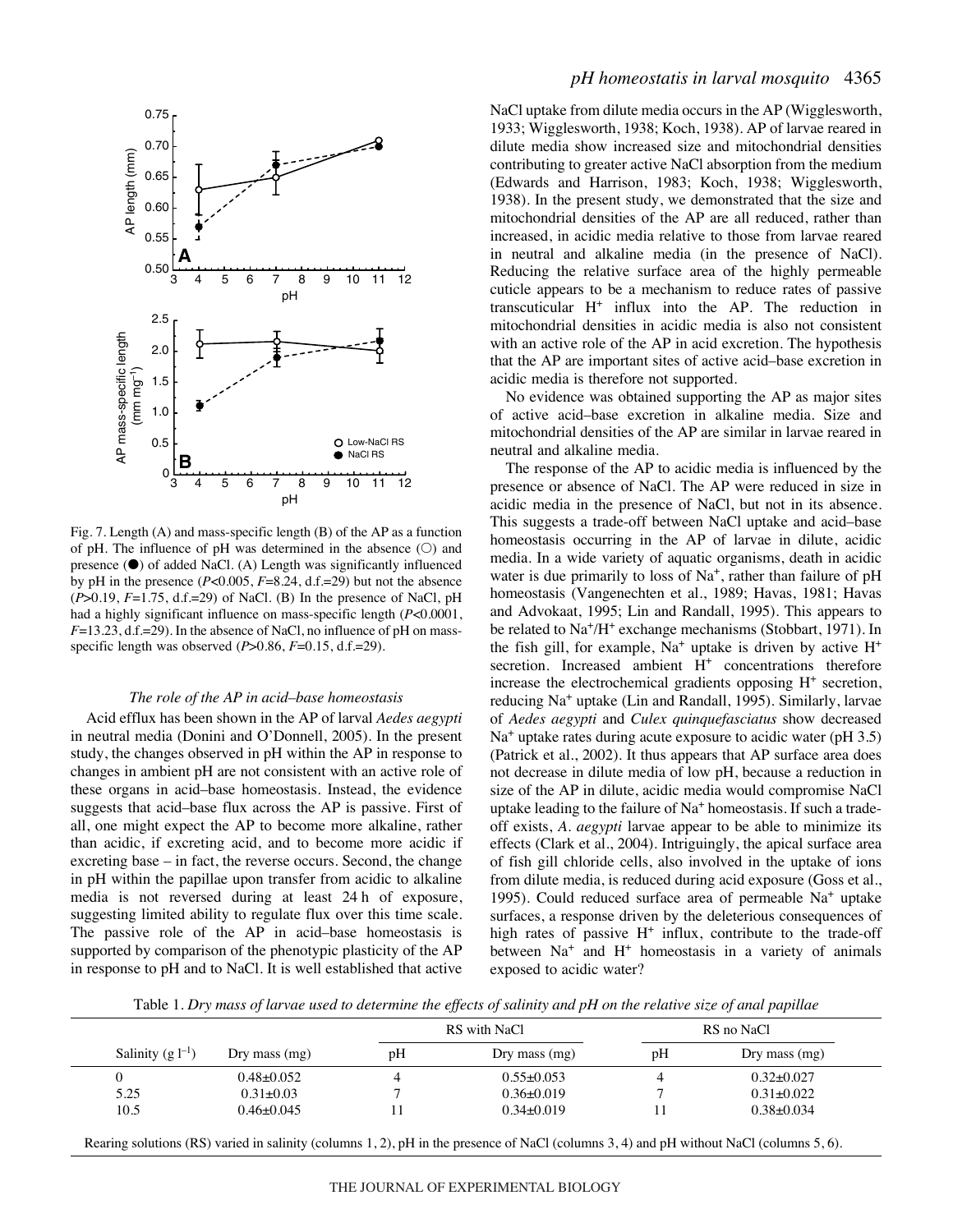

Fig. 7. Length (A) and mass-specific length (B) of the AP as a function of pH. The influence of pH was determined in the absence  $(\bigcirc)$  and presence  $(\bullet)$  of added NaCl. (A) Length was significantly influenced by pH in the presence  $(P<0.005, F=8.24, d.f.=29)$  but not the absence (*P*>0.19, *F*=1.75, d.f.=29) of NaCl. (B) In the presence of NaCl, pH had a highly significant influence on mass-specific length (*P*<0.0001, *F*=13.23, d.f.=29). In the absence of NaCl, no influence of pH on massspecific length was observed ( $P > 0.86$ ,  $F = 0.15$ , d.f.=29).

#### *The role of the AP in acid–base homeostasis*

Acid efflux has been shown in the AP of larval *Aedes aegypti* in neutral media (Donini and O'Donnell, 2005). In the present study, the changes observed in pH within the AP in response to changes in ambient pH are not consistent with an active role of these organs in acid–base homeostasis. Instead, the evidence suggests that acid–base flux across the AP is passive. First of all, one might expect the AP to become more alkaline, rather than acidic, if excreting acid, and to become more acidic if excreting base – in fact, the reverse occurs. Second, the change in pH within the papillae upon transfer from acidic to alkaline media is not reversed during at least 24 h of exposure, suggesting limited ability to regulate flux over this time scale. The passive role of the AP in acid–base homeostasis is supported by comparison of the phenotypic plasticity of the AP in response to pH and to NaCl. It is well established that active

# *pH homeostatis in larval mosquito* 4365

NaCl uptake from dilute media occurs in the AP (Wigglesworth, 1933; Wigglesworth, 1938; Koch, 1938). AP of larvae reared in dilute media show increased size and mitochondrial densities contributing to greater active NaCl absorption from the medium (Edwards and Harrison, 1983; Koch, 1938; Wigglesworth, 1938). In the present study, we demonstrated that the size and mitochondrial densities of the AP are all reduced, rather than increased, in acidic media relative to those from larvae reared in neutral and alkaline media (in the presence of NaCl). Reducing the relative surface area of the highly permeable cuticle appears to be a mechanism to reduce rates of passive transcuticular  $H^+$  influx into the AP. The reduction in mitochondrial densities in acidic media is also not consistent with an active role of the AP in acid excretion. The hypothesis that the AP are important sites of active acid–base excretion in acidic media is therefore not supported.

No evidence was obtained supporting the AP as major sites of active acid–base excretion in alkaline media. Size and mitochondrial densities of the AP are similar in larvae reared in neutral and alkaline media.

The response of the AP to acidic media is influenced by the presence or absence of NaCl. The AP were reduced in size in acidic media in the presence of NaCl, but not in its absence. This suggests a trade-off between NaCl uptake and acid–base homeostasis occurring in the AP of larvae in dilute, acidic media. In a wide variety of aquatic organisms, death in acidic water is due primarily to loss of  $Na<sup>+</sup>$ , rather than failure of pH homeostasis (Vangenechten et al., 1989; Havas, 1981; Havas and Advokaat, 1995; Lin and Randall, 1995). This appears to be related to Na<sup>+</sup>/H<sup>+</sup> exchange mechanisms (Stobbart, 1971). In the fish gill, for example,  $Na<sup>+</sup>$  uptake is driven by active  $H<sup>+</sup>$ secretion. Increased ambient H<sup>+</sup> concentrations therefore increase the electrochemical gradients opposing H<sup>+</sup> secretion, reducing Na+ uptake (Lin and Randall, 1995). Similarly, larvae of *Aedes aegypti* and *Culex quinquefasciatus* show decreased  $Na<sup>+</sup>$  uptake rates during acute exposure to acidic water (pH 3.5) (Patrick et al., 2002). It thus appears that AP surface area does not decrease in dilute media of low pH, because a reduction in size of the AP in dilute, acidic media would compromise NaCl uptake leading to the failure of  $Na<sup>+</sup>$  homeostasis. If such a tradeoff exists, *A. aegypti* larvae appear to be able to minimize its effects (Clark et al., 2004). Intriguingly, the apical surface area of fish gill chloride cells, also involved in the uptake of ions from dilute media, is reduced during acid exposure (Goss et al., 1995). Could reduced surface area of permeable  $Na<sup>+</sup>$  uptake surfaces, a response driven by the deleterious consequences of high rates of passive  $H^+$  influx, contribute to the trade-off between  $Na<sup>+</sup>$  and  $H<sup>+</sup>$  homeostasis in a variety of animals exposed to acidic water?

Table 1. *Dry mass of larvae used to determine the effects of salinity and pH on the relative size of anal papillae*

| Salinity $(g l^{-1})$ | Dry mass $(mg)$  | RS with NaCl |                  | RS no NaCl |                  |
|-----------------------|------------------|--------------|------------------|------------|------------------|
|                       |                  | pH           | Dry mass $(mg)$  | pH         | Dry mass $(mg)$  |
|                       | $0.48 \pm 0.052$ | 4            | $0.55 \pm 0.053$ | 4          | $0.32 \pm 0.027$ |
| 5.25                  | $0.31 \pm 0.03$  | −            | $0.36 \pm 0.019$ |            | $0.31 \pm 0.022$ |
| 10.5                  | $0.46 \pm 0.045$ |              | $0.34 \pm 0.019$ |            | $0.38 \pm 0.034$ |

Rearing solutions (RS) varied in salinity (columns 1, 2), pH in the presence of NaCl (columns 3, 4) and pH without NaCl (columns 5, 6).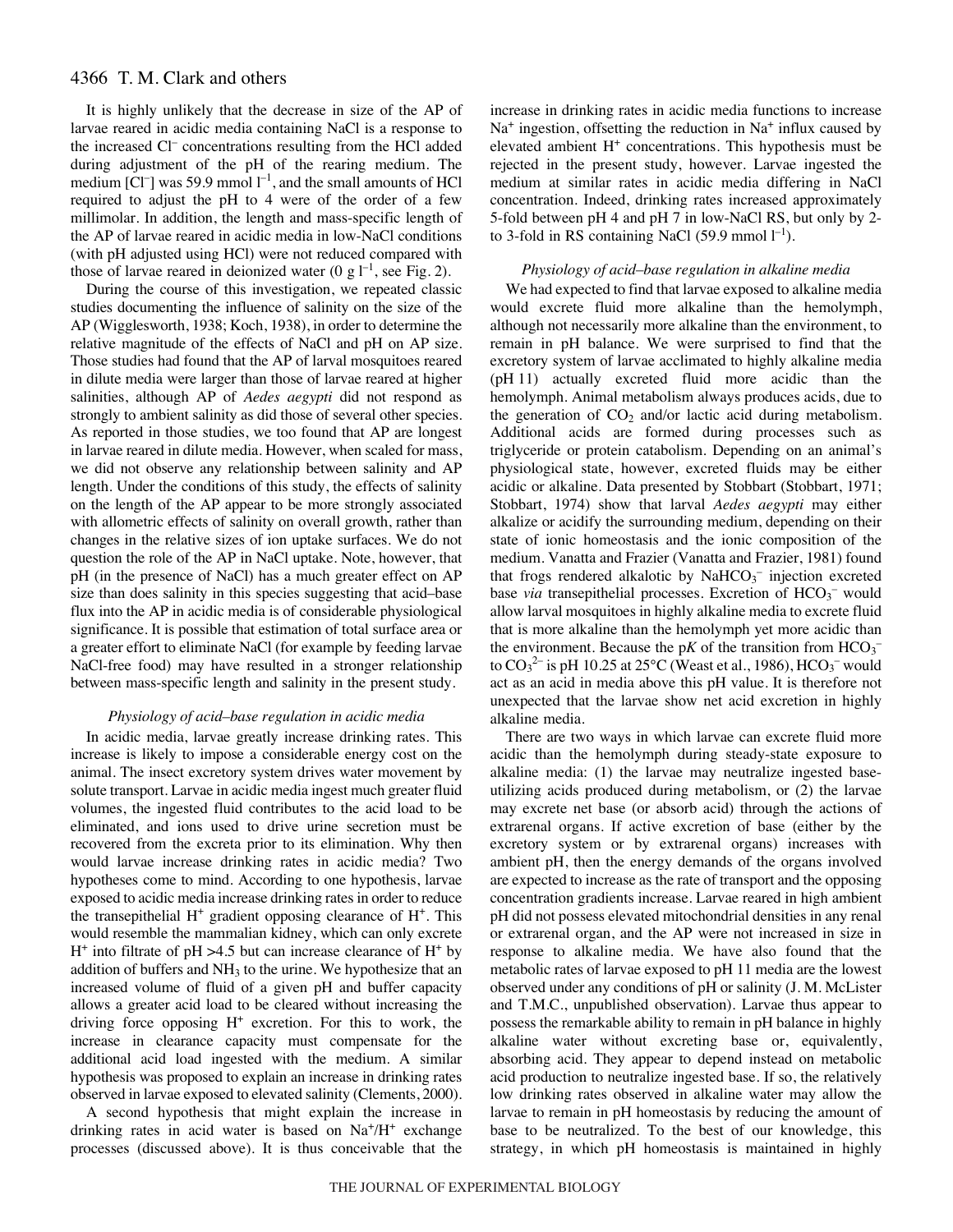# 4366 T. M. Clark and others

It is highly unlikely that the decrease in size of the AP of larvae reared in acidic media containing NaCl is a response to the increased Cl– concentrations resulting from the HCl added during adjustment of the pH of the rearing medium. The medium [Cl<sup>-</sup>] was 59.9 mmol  $l^{-1}$ , and the small amounts of HCl required to adjust the pH to 4 were of the order of a few millimolar. In addition, the length and mass-specific length of the AP of larvae reared in acidic media in low-NaCl conditions (with pH adjusted using HCl) were not reduced compared with those of larvae reared in deionized water (0 g  $l^{-1}$ , see Fig. 2).

During the course of this investigation, we repeated classic studies documenting the influence of salinity on the size of the AP (Wigglesworth, 1938; Koch, 1938), in order to determine the relative magnitude of the effects of NaCl and pH on AP size. Those studies had found that the AP of larval mosquitoes reared in dilute media were larger than those of larvae reared at higher salinities, although AP of *Aedes aegypti* did not respond as strongly to ambient salinity as did those of several other species. As reported in those studies, we too found that AP are longest in larvae reared in dilute media. However, when scaled for mass, we did not observe any relationship between salinity and AP length. Under the conditions of this study, the effects of salinity on the length of the AP appear to be more strongly associated with allometric effects of salinity on overall growth, rather than changes in the relative sizes of ion uptake surfaces. We do not question the role of the AP in NaCl uptake. Note, however, that pH (in the presence of NaCl) has a much greater effect on AP size than does salinity in this species suggesting that acid–base flux into the AP in acidic media is of considerable physiological significance. It is possible that estimation of total surface area or a greater effort to eliminate NaCl (for example by feeding larvae NaCl-free food) may have resulted in a stronger relationship between mass-specific length and salinity in the present study.

# *Physiology of acid–base regulation in acidic media*

In acidic media, larvae greatly increase drinking rates. This increase is likely to impose a considerable energy cost on the animal. The insect excretory system drives water movement by solute transport. Larvae in acidic media ingest much greater fluid volumes, the ingested fluid contributes to the acid load to be eliminated, and ions used to drive urine secretion must be recovered from the excreta prior to its elimination. Why then would larvae increase drinking rates in acidic media? Two hypotheses come to mind. According to one hypothesis, larvae exposed to acidic media increase drinking rates in order to reduce the transepithelial  $H^+$  gradient opposing clearance of  $H^+$ . This would resemble the mammalian kidney, which can only excrete  $H^+$  into filtrate of pH  $>4.5$  but can increase clearance of  $H^+$  by addition of buffers and  $NH<sub>3</sub>$  to the urine. We hypothesize that an increased volume of fluid of a given pH and buffer capacity allows a greater acid load to be cleared without increasing the driving force opposing  $H^+$  excretion. For this to work, the increase in clearance capacity must compensate for the additional acid load ingested with the medium. A similar hypothesis was proposed to explain an increase in drinking rates observed in larvae exposed to elevated salinity (Clements, 2000).

A second hypothesis that might explain the increase in drinking rates in acid water is based on  $Na^+/H^+$  exchange processes (discussed above). It is thus conceivable that the increase in drinking rates in acidic media functions to increase  $Na<sup>+</sup>$  ingestion, offsetting the reduction in  $Na<sup>+</sup>$  influx caused by elevated ambient  $H^+$  concentrations. This hypothesis must be rejected in the present study, however. Larvae ingested the medium at similar rates in acidic media differing in NaCl concentration. Indeed, drinking rates increased approximately 5-fold between pH 4 and pH 7 in low-NaCl RS, but only by 2 to 3-fold in RS containing NaCl  $(59.9 \text{ mmol } l^{-1})$ .

# *Physiology of acid–base regulation in alkaline media*

We had expected to find that larvae exposed to alkaline media would excrete fluid more alkaline than the hemolymph, although not necessarily more alkaline than the environment, to remain in pH balance. We were surprised to find that the excretory system of larvae acclimated to highly alkaline media (pH 11) actually excreted fluid more acidic than the hemolymph. Animal metabolism always produces acids, due to the generation of  $CO<sub>2</sub>$  and/or lactic acid during metabolism. Additional acids are formed during processes such as triglyceride or protein catabolism. Depending on an animal's physiological state, however, excreted fluids may be either acidic or alkaline. Data presented by Stobbart (Stobbart, 1971; Stobbart, 1974) show that larval *Aedes aegypti* may either alkalize or acidify the surrounding medium, depending on their state of ionic homeostasis and the ionic composition of the medium. Vanatta and Frazier (Vanatta and Frazier, 1981) found that frogs rendered alkalotic by  $NAHCO<sub>3</sub><sup>-</sup>$  injection excreted base *via* transepithelial processes. Excretion of HCO<sub>3</sub><sup>-</sup> would allow larval mosquitoes in highly alkaline media to excrete fluid that is more alkaline than the hemolymph yet more acidic than the environment. Because the  $pK$  of the transition from  $HCO_3^$ to  $CO_3^{2-}$  is pH 10.25 at 25°C (Weast et al., 1986), HCO<sub>3</sub><sup>-</sup> would act as an acid in media above this pH value. It is therefore not unexpected that the larvae show net acid excretion in highly alkaline media.

There are two ways in which larvae can excrete fluid more acidic than the hemolymph during steady-state exposure to alkaline media: (1) the larvae may neutralize ingested baseutilizing acids produced during metabolism, or (2) the larvae may excrete net base (or absorb acid) through the actions of extrarenal organs. If active excretion of base (either by the excretory system or by extrarenal organs) increases with ambient pH, then the energy demands of the organs involved are expected to increase as the rate of transport and the opposing concentration gradients increase. Larvae reared in high ambient pH did not possess elevated mitochondrial densities in any renal or extrarenal organ, and the AP were not increased in size in response to alkaline media. We have also found that the metabolic rates of larvae exposed to pH 11 media are the lowest observed under any conditions of pH or salinity (J. M. McLister and T.M.C., unpublished observation). Larvae thus appear to possess the remarkable ability to remain in pH balance in highly alkaline water without excreting base or, equivalently, absorbing acid. They appear to depend instead on metabolic acid production to neutralize ingested base. If so, the relatively low drinking rates observed in alkaline water may allow the larvae to remain in pH homeostasis by reducing the amount of base to be neutralized. To the best of our knowledge, this strategy, in which pH homeostasis is maintained in highly